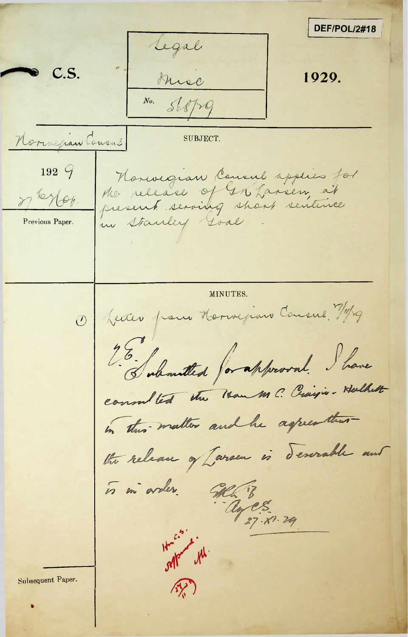DEF/POL/2#18 Legal C.S. 1929. Musc No. Serpa Norwegian Cousal **SUBJECT** 192  $99$ Horevegian Consul applies for the release of In Lansen, at of lesler. in Stanley Loal Previous Paper. MINUTES. O feiter pour Morrigian Cousine 7/1/29  $76.1$ Enhantled for approval. I have consolted the Han M C. Craigis. Halkett in this matter and he aspect that the release of Larsen is descrable and is in arder. GRA 'B ages 27- 21- 29  $H - e^{-2}$ orlean the Subsequent Paper.  $\mathcal{A}(\mathcal{A})$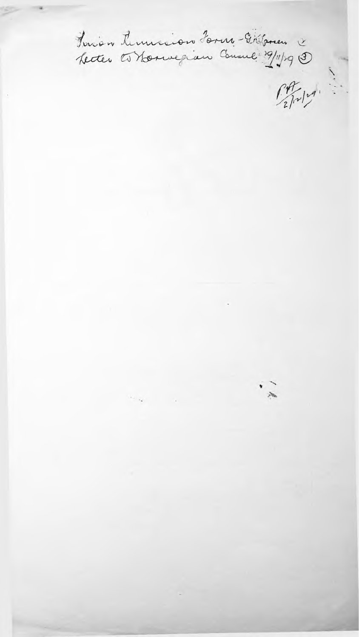Funion Arminion Horn - Disponence  $\int_{2}^{4}$  $\frac{1}{2}$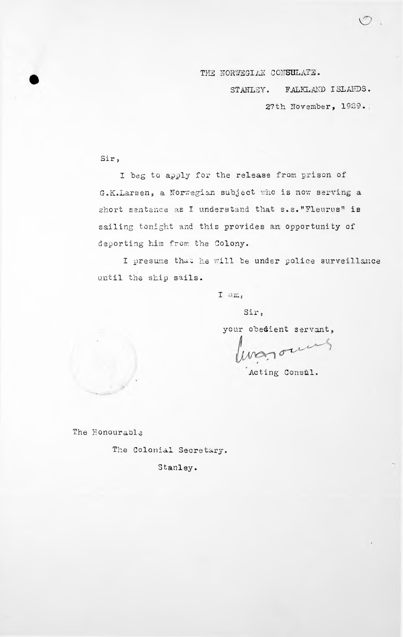THE NORWEGIAN CONSULATE.

STANLEY. FALKLAND ISLANDS.

27th November, 1929...

 $\bigcirc$ 

Sir *<sup>9</sup>*

I beg to apply for the release from prison of short sentence as I understand that s.s."Fleuru<mark>s" is</mark> sailing tonight and this provides an opportunity of deporting him from the Colony. G.K.Larsen, a Norwegian subject who is now serving a

I presume that he will be under police surveillance until the ship sails.

I am,

Sir,

your obedient servant,

Town

Acting Consul.

The Honourable

The Colonial Secretary.

Stanley.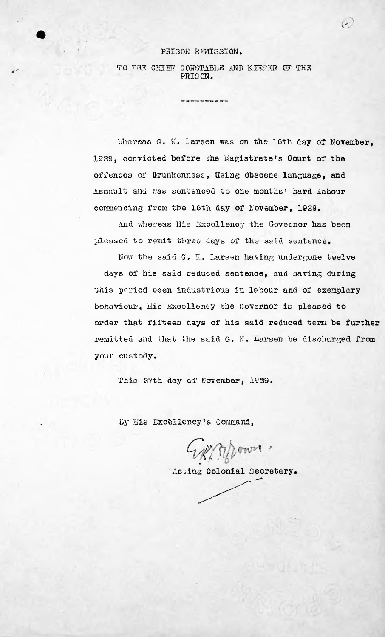## PRISON REMISSION.

*a'~*

## TO THE CHIEF CONSTABLE AND KEEPER OF THE PRISON.

Whereas G. K. Larsen was on the 16th day of November, 1929, convicted before the Magistrate's Court of the offences of firunkenness, Using Obscene language, and Assault and was sentenced to one months' hard labour commencing from the 16th day of November, 1929.

 $\ddot{r}$ 

And whereas His Excellency the Governor has been pleased to remit three days of the said sentence.

Now the said  $G.$  K. Larsen having undergone twelve days of his said reduced sentence, and having during this period been industrious in labour and of exemplary behaviour, His Excellency the Governor is pleased to order that fifteen days of his said reduced tera be further remitted and that the said G. K. Larsen be discharged from your custody

This 27th day of November, 1939.

By His Excellency's Command,

Explorer.

Acting Colonial Secretary.